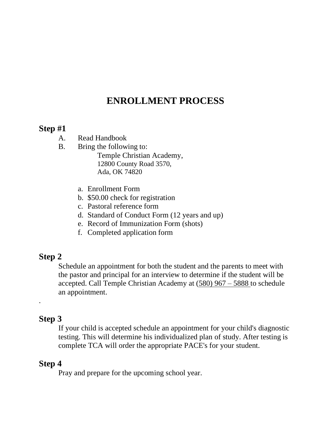# **ENROLLMENT PROCESS**

### **Step #1**

- A. Read Handbook
- B. Bring the following to: Temple Christian Academy, 12800 County Road 3570, Ada, OK 74820
	- a. Enrollment Form
	- b. \$50.00 check for registration
	- c. Pastoral reference form
	- d. Standard of Conduct Form (12 years and up)
	- e. Record of Immunization Form (shots)
	- f. Completed application form

# **Step 2**

Schedule an appointment for both the student and the parents to meet with the pastor and principal for an interview to determine if the student will be accepted. Call Temple Christian Academy at (580) 967 – 5888 to schedule an appointment.

# **Step 3**

.

If your child is accepted schedule an appointment for your child's diagnostic testing. This will determine his individualized plan of study. After testing is complete TCA will order the appropriate PACE's for your student.

## **Step 4**

Pray and prepare for the upcoming school year.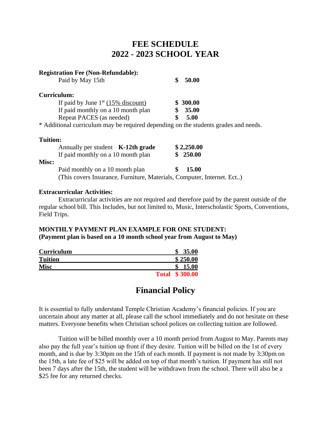# **FEE SCHEDULE 2022 - 2023 SCHOOL YEAR**

| <b>Registration Fee (Non-Refundable):</b>                                           |              |
|-------------------------------------------------------------------------------------|--------------|
| Paid by May 15th                                                                    | \$<br>50.00  |
| Curriculum:                                                                         |              |
| If paid by June $1st$ (15% discount)                                                | \$ 300.00    |
| If paid monthly on a 10 month plan                                                  | <b>35.00</b> |
| Repeat PACES (as needed)                                                            | \$<br>5.00   |
| * Additional curriculum may be required depending on the students grades and needs. |              |
| <b>Tuition:</b>                                                                     |              |
| Annually per student $K-12$ th grade                                                | \$2,250.00   |
| If paid monthly on a 10 month plan                                                  | 250.00       |
| Misc:                                                                               |              |

(This covers Insurance, Furniture, Materials, Computer, Internet. Ect..)

Paid monthly on a 10 month plan **\$ 15.00** 

#### **Extracurricular Activities:**

Extracurricular activities are not required and therefore paid by the parent outside of the regular school bill. This Includes, but not limited to, Music, Interscholastic Sports, Conventions, Field Trips.

#### **MONTHLY PAYMENT PLAN EXAMPLE FOR ONE STUDENT:**

**(Payment plan is based on a 10 month school year from August to May)**

| Curriculum     |              | 35.00    |
|----------------|--------------|----------|
| <b>Tuition</b> |              | \$250.00 |
| Misc           |              | 15.00    |
|                | <b>Total</b> | \$300.00 |

## **Financial Policy**

It is essential to fully understand Temple Christian Academy's financial policies. If you are uncertain about any matter at all, please call the school immediately and do not hesitate on these matters. Everyone benefits when Christian school polices on collecting tuition are followed.

Tuition will be billed monthly over a 10 month period from August to May. Parents may also pay the full year's tuition up front if they desire. Tuition will be billed on the 1st of every month, and is due by 3:30pm on the 15th of each month. If payment is not made by 3:30pm on the 15th, a late fee of \$25 will be added on top of that month's tuition. If payment has still not been 7 days after the 15th, the student will be withdrawn from the school. There will also be a \$25 fee for any returned checks.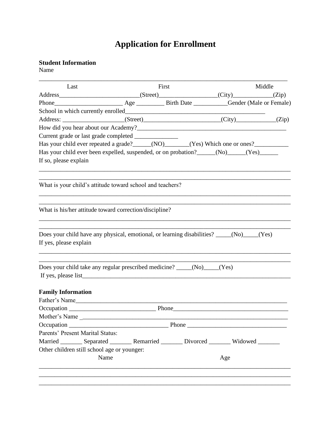# **Application for Enrollment**

#### **Student Information**

Name

| Last                                                                                                               |      | First |     | Middle |
|--------------------------------------------------------------------------------------------------------------------|------|-------|-----|--------|
|                                                                                                                    |      |       |     |        |
|                                                                                                                    |      |       |     |        |
|                                                                                                                    |      |       |     |        |
|                                                                                                                    |      |       |     |        |
|                                                                                                                    |      |       |     |        |
|                                                                                                                    |      |       |     |        |
| Has your child ever repeated a grade? _____(NO)______(Yes) Which one or ones? ______________________               |      |       |     |        |
| Has your child ever been expelled, suspended, or on probation?_____(No)_____(Yes)_____                             |      |       |     |        |
| If so, please explain                                                                                              |      |       |     |        |
| What is your child's attitude toward school and teachers?                                                          |      |       |     |        |
| What is his/her attitude toward correction/discipline?                                                             |      |       |     |        |
| Does your child have any physical, emotional, or learning disabilities? ____(No)___(Yes)<br>If yes, please explain |      |       |     |        |
| Does your child take any regular prescribed medicine? _____(No)____(Yes)                                           |      |       |     |        |
|                                                                                                                    |      |       |     |        |
| <b>Family Information</b>                                                                                          |      |       |     |        |
| Father's Name                                                                                                      |      |       |     |        |
|                                                                                                                    |      |       |     |        |
| Mother's Name<br>$\overline{\phantom{a}}$                                                                          |      |       |     |        |
|                                                                                                                    |      |       |     |        |
| Parents' Present Marital Status:                                                                                   |      |       |     |        |
| Married ________ Separated ________ Remarried ________ Divorced ________ Widowed _______                           |      |       |     |        |
| Other children still school age or younger:                                                                        |      |       |     |        |
|                                                                                                                    | Name |       | Age |        |
|                                                                                                                    |      |       |     |        |
|                                                                                                                    |      |       |     |        |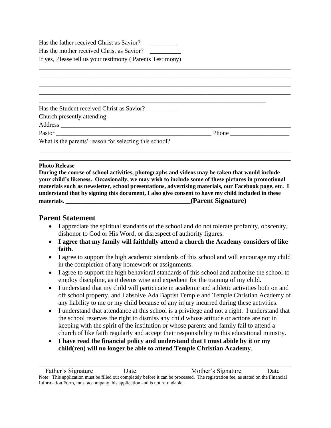Has the father received Christ as Savior?

Has the mother received Christ as Savior?

If yes, Please tell us your testimony ( Parents Testimony)

| Has the Student received Christ as Savior?             |  |
|--------------------------------------------------------|--|
|                                                        |  |
|                                                        |  |
|                                                        |  |
| What is the parents' reason for selecting this school? |  |
|                                                        |  |
|                                                        |  |

#### **Photo Release**

**During the course of school activities, photographs and videos may be taken that would include your child's likeness. Occasionally, we may wish to include some of these pictures in promotional materials such as newsletter, school presentations, advertising materials, our Facebook page, etc. I understand that by signing this document, I also give consent to have my child included in these materials. and the contract of the contract of the contract of the contract of the contract of the contract of the contract of the contract of the contract of the contract of the contract of the contract of the contract** 

#### **Parent Statement**

- I appreciate the spiritual standards of the school and do not tolerate profanity, obscenity, dishonor to God or His Word, or disrespect of authority figures.
- **I agree that my family will faithfully attend a church the Academy considers of like faith.**
- I agree to support the high academic standards of this school and will encourage my child in the completion of any homework or assignments.
- I agree to support the high behavioral standards of this school and authorize the school to employ discipline, as it deems wise and expedient for the training of my child.
- I understand that my child will participate in academic and athletic activities both on and off school property, and I absolve Ada Baptist Temple and Temple Christian Academy of any liability to me or my child because of any injury incurred during these activities.
- I understand that attendance at this school is a privilege and not a right. I understand that the school reserves the right to dismiss any child whose attitude or actions are not in keeping with the spirit of the institution or whose parents and family fail to attend a church of like faith regularly and accept their responsibility to this educational ministry.
- **I have read the financial policy and understand that I must abide by it or my child(ren) will no longer be able to attend Temple Christian Academy**.

\_\_\_\_\_\_\_\_\_\_\_\_\_\_\_\_\_\_\_\_\_\_\_\_\_\_\_\_\_\_\_\_\_\_\_\_\_\_\_\_\_\_\_\_\_\_\_\_\_\_\_\_\_\_\_\_\_\_\_\_\_\_\_\_\_\_\_\_\_\_\_\_\_\_\_\_\_\_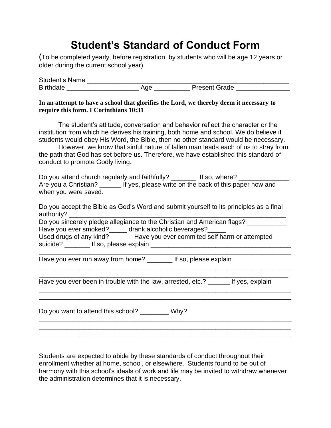# **Student's Standard of Conduct Form**

(To be completed yearly, before registration, by students who will be age 12 years or older during the current school year)

| <b>Student's Name</b> |     |                      |
|-----------------------|-----|----------------------|
| <b>Birthdate</b>      | ١ae | <b>Present Grade</b> |

#### **In an attempt to have a school that glorifies the Lord, we thereby deem it necessary to require this form. I Corinthians 10:31**

The student's attitude, conversation and behavior reflect the character or the institution from which he derives his training, both home and school. We do believe if students would obey His Word, the Bible, then no other standard would be necessary.

However, we know that sinful nature of fallen man leads each of us to stray from the path that God has set before us. Therefore, we have established this standard of conduct to promote Godly living.

Do you attend church regularly and faithfully? If so, where? Are you a Christian? \_\_\_\_\_\_\_ If yes, please write on the back of this paper how and when you were saved.

Do you accept the Bible as God's Word and submit yourself to its principles as a final authority?

Do you sincerely pledge allegiance to the Christian and American flags? Have you ever smoked?\_\_\_\_\_ drank alcoholic beverages?\_\_\_\_

\_\_\_\_\_\_\_\_\_\_\_\_\_\_\_\_\_\_\_\_\_\_\_\_\_\_\_\_\_\_\_\_\_\_\_\_\_\_\_\_\_\_\_\_\_\_\_\_\_\_\_\_\_\_\_\_\_\_\_\_\_\_\_\_\_\_\_\_\_\_

\_\_\_\_\_\_\_\_\_\_\_\_\_\_\_\_\_\_\_\_\_\_\_\_\_\_\_\_\_\_\_\_\_\_\_\_\_\_\_\_\_\_\_\_\_\_\_\_\_\_\_\_\_\_\_\_\_\_\_\_\_\_\_\_\_\_\_\_\_\_ \_\_\_\_\_\_\_\_\_\_\_\_\_\_\_\_\_\_\_\_\_\_\_\_\_\_\_\_\_\_\_\_\_\_\_\_\_\_\_\_\_\_\_\_\_\_\_\_\_\_\_\_\_\_\_\_\_\_\_\_\_\_\_\_\_\_\_\_\_

\_\_\_\_\_\_\_\_\_\_\_\_\_\_\_\_\_\_\_\_\_\_\_\_\_\_\_\_\_\_\_\_\_\_\_\_\_\_\_\_\_\_\_\_\_\_\_\_\_\_\_\_\_\_\_\_\_\_\_\_\_\_\_\_\_\_\_\_\_\_ \_\_\_\_\_\_\_\_\_\_\_\_\_\_\_\_\_\_\_\_\_\_\_\_\_\_\_\_\_\_\_\_\_\_\_\_\_\_\_\_\_\_\_\_\_\_\_\_\_\_\_\_\_\_\_\_\_\_\_\_\_\_\_\_\_\_\_\_\_\_

\_\_\_\_\_\_\_\_\_\_\_\_\_\_\_\_\_\_\_\_\_\_\_\_\_\_\_\_\_\_\_\_\_\_\_\_\_\_\_\_\_\_\_\_\_\_\_\_\_\_\_\_\_\_\_\_\_\_\_\_\_\_\_\_\_\_\_\_\_\_ \_\_\_\_\_\_\_\_\_\_\_\_\_\_\_\_\_\_\_\_\_\_\_\_\_\_\_\_\_\_\_\_\_\_\_\_\_\_\_\_\_\_\_\_\_\_\_\_\_\_\_\_\_\_\_\_\_\_\_\_\_\_\_\_\_\_\_\_\_\_ \_\_\_\_\_\_\_\_\_\_\_\_\_\_\_\_\_\_\_\_\_\_\_\_\_\_\_\_\_\_\_\_\_\_\_\_\_\_\_\_\_\_\_\_\_\_\_\_\_\_\_\_\_\_\_\_\_\_\_\_\_\_\_\_\_\_\_\_\_\_

| Used drugs of any kind?           | Have you ever commited self harm or attempted |
|-----------------------------------|-----------------------------------------------|
| suicide?<br>If so, please explain |                                               |

Have you ever run away from home? \_\_\_\_\_\_\_\_ If so, please explain

Have you ever been in trouble with the law, arrested, etc.? \_\_\_\_\_\_ If yes, explain

Do you want to attend this school? \_\_\_\_\_\_\_\_ Why?

Students are expected to abide by these standards of conduct throughout their enrollment whether at home, school, or elsewhere. Students found to be out of harmony with this school's ideals of work and life may be invited to withdraw whenever the administration determines that it is necessary.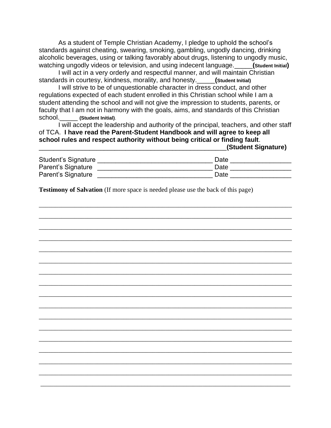As a student of Temple Christian Academy, I pledge to uphold the school's standards against cheating, swearing, smoking, gambling, ungodly dancing, drinking alcoholic beverages, using or talking favorably about drugs, listening to ungodly music, watching ungodly videos or television, and using indecent language.\_\_\_\_\_**(Student Initial)** 

I will act in a very orderly and respectful manner, and will maintain Christian standards in courtesy, kindness, morality, and honesty.\_\_\_\_\_**(Student Initial)** 

I will strive to be of unquestionable character in dress conduct, and other regulations expected of each student enrolled in this Christian school while I am a student attending the school and will not give the impression to students, parents, or faculty that I am not in harmony with the goals, aims, and standards of this Christian school.\_\_\_\_\_ **(Student Initial)**.

I will accept the leadership and authority of the principal, teachers, and other staff of TCA. **I have read the Parent-Student Handbook and will agree to keep all school rules and respect authority without being critical or finding fault**.

\_\_\_\_\_\_\_\_\_\_\_\_\_\_\_\_\_\_\_\_\_\_\_\_\_\_\_\_\_\_\_\_\_\_\_\_\_\_\_\_\_\_\_\_\_\_\_\_\_\_\_\_**(Student Signature)**

| <b>Student's Signature</b> | Date |
|----------------------------|------|
| Parent's Signature         | Date |
| Parent's Signature         | Date |

\_\_\_\_\_\_\_\_\_\_\_\_\_\_\_\_\_\_\_\_\_\_\_\_\_\_\_\_\_\_\_\_\_\_\_\_\_\_\_\_\_\_\_\_\_\_\_\_\_\_\_\_\_\_\_\_\_\_\_\_\_\_\_\_\_\_\_\_\_\_\_\_\_\_\_\_\_\_

\_\_\_\_\_\_\_\_\_\_\_\_\_\_\_\_\_\_\_\_\_\_\_\_\_\_\_\_\_\_\_\_\_\_\_\_\_\_\_\_\_\_\_\_\_\_\_\_\_\_\_\_\_\_\_\_\_\_\_\_\_\_\_\_\_\_\_\_\_\_\_\_\_\_\_\_\_\_

\_\_\_\_\_\_\_\_\_\_\_\_\_\_\_\_\_\_\_\_\_\_\_\_\_\_\_\_\_\_\_\_\_\_\_\_\_\_\_\_\_\_\_\_\_\_\_\_\_\_\_\_\_\_\_\_\_\_\_\_\_\_\_\_\_\_\_\_\_\_\_\_\_\_\_\_\_\_

\_\_\_\_\_\_\_\_\_\_\_\_\_\_\_\_\_\_\_\_\_\_\_\_\_\_\_\_\_\_\_\_\_\_\_\_\_\_\_\_\_\_\_\_\_\_\_\_\_\_\_\_\_\_\_\_\_\_\_\_\_\_\_\_\_\_\_\_\_\_\_\_\_\_\_\_\_\_

\_\_\_\_\_\_\_\_\_\_\_\_\_\_\_\_\_\_\_\_\_\_\_\_\_\_\_\_\_\_\_\_\_\_\_\_\_\_\_\_\_\_\_\_\_\_\_\_\_\_\_\_\_\_\_\_\_\_\_\_\_\_\_\_\_\_\_\_\_\_\_\_\_\_\_\_\_\_

\_\_\_\_\_\_\_\_\_\_\_\_\_\_\_\_\_\_\_\_\_\_\_\_\_\_\_\_\_\_\_\_\_\_\_\_\_\_\_\_\_\_\_\_\_\_\_\_\_\_\_\_\_\_\_\_\_\_\_\_\_\_\_\_\_\_\_\_\_\_\_\_\_\_\_\_\_\_

\_\_\_\_\_\_\_\_\_\_\_\_\_\_\_\_\_\_\_\_\_\_\_\_\_\_\_\_\_\_\_\_\_\_\_\_\_\_\_\_\_\_\_\_\_\_\_\_\_\_\_\_\_\_\_\_\_\_\_\_\_\_\_\_\_\_\_\_\_\_\_\_\_\_\_\_\_\_

\_\_\_\_\_\_\_\_\_\_\_\_\_\_\_\_\_\_\_\_\_\_\_\_\_\_\_\_\_\_\_\_\_\_\_\_\_\_\_\_\_\_\_\_\_\_\_\_\_\_\_\_\_\_\_\_\_\_\_\_\_\_\_\_\_\_\_\_\_\_\_\_\_\_\_\_\_\_

\_\_\_\_\_\_\_\_\_\_\_\_\_\_\_\_\_\_\_\_\_\_\_\_\_\_\_\_\_\_\_\_\_\_\_\_\_\_\_\_\_\_\_\_\_\_\_\_\_\_\_\_\_\_\_\_\_\_\_\_\_\_\_\_\_\_\_\_\_\_\_\_\_\_\_\_\_\_

\_\_\_\_\_\_\_\_\_\_\_\_\_\_\_\_\_\_\_\_\_\_\_\_\_\_\_\_\_\_\_\_\_\_\_\_\_\_\_\_\_\_\_\_\_\_\_\_\_\_\_\_\_\_\_\_\_\_\_\_\_\_\_\_\_\_\_\_\_\_\_\_\_\_\_\_\_\_

\_\_\_\_\_\_\_\_\_\_\_\_\_\_\_\_\_\_\_\_\_\_\_\_\_\_\_\_\_\_\_\_\_\_\_\_\_\_\_\_\_\_\_\_\_\_\_\_\_\_\_\_\_\_\_\_\_\_\_\_\_\_\_\_\_\_\_\_\_\_\_\_\_\_\_\_\_\_

\_\_\_\_\_\_\_\_\_\_\_\_\_\_\_\_\_\_\_\_\_\_\_\_\_\_\_\_\_\_\_\_\_\_\_\_\_\_\_\_\_\_\_\_\_\_\_\_\_\_\_\_\_\_\_\_\_\_\_\_\_\_\_\_\_\_\_\_\_\_\_\_\_\_\_\_\_\_

\_\_\_\_\_\_\_\_\_\_\_\_\_\_\_\_\_\_\_\_\_\_\_\_\_\_\_\_\_\_\_\_\_\_\_\_\_\_\_\_\_\_\_\_\_\_\_\_\_\_\_\_\_\_\_\_\_\_\_\_\_\_\_\_\_\_\_\_\_\_\_\_\_\_\_\_\_\_

\_\_\_\_\_\_\_\_\_\_\_\_\_\_\_\_\_\_\_\_\_\_\_\_\_\_\_\_\_\_\_\_\_\_\_\_\_\_\_\_\_\_\_\_\_\_\_\_\_\_\_\_\_\_\_\_\_\_\_\_\_\_\_\_\_\_\_\_\_\_\_\_\_\_\_\_\_\_

\_\_\_\_\_\_\_\_\_\_\_\_\_\_\_\_\_\_\_\_\_\_\_\_\_\_\_\_\_\_\_\_\_\_\_\_\_\_\_\_\_\_\_\_\_\_\_\_\_\_\_\_\_\_\_\_\_\_\_\_\_\_\_\_\_\_\_\_\_\_\_\_\_\_\_\_\_\_

\_\_\_\_\_\_\_\_\_\_\_\_\_\_\_\_\_\_\_\_\_\_\_\_\_\_\_\_\_\_\_\_\_\_\_\_\_\_\_\_\_\_\_\_\_\_\_\_\_\_\_\_\_\_\_\_\_\_\_\_\_\_\_\_\_\_\_\_\_\_\_\_\_\_\_\_\_\_

\_\_\_\_\_\_\_\_\_\_\_\_\_\_\_\_\_\_\_\_\_\_\_\_\_\_\_\_\_\_\_\_\_\_\_\_\_\_\_\_\_\_\_\_\_\_\_\_\_\_\_\_\_\_\_\_\_\_\_\_\_\_\_\_\_\_\_\_\_\_\_\_\_\_\_\_\_

**Testimony of Salvation** (If more space is needed please use the back of this page)